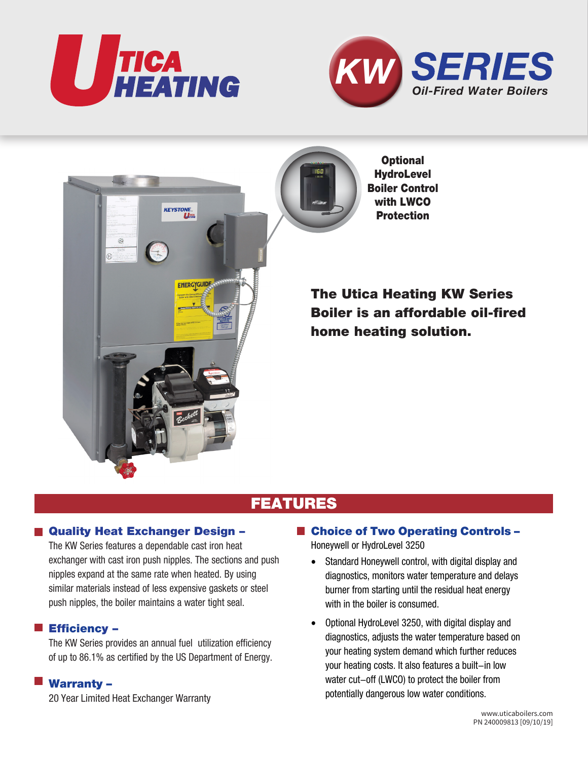





## FEATURES

## ■ Quality Heat Exchanger Design –

The KW Series features a dependable cast iron heat exchanger with cast iron push nipples. The sections and push nipples expand at the same rate when heated. By using similar materials instead of less expensive gaskets or steel push nipples, the boiler maintains a water tight seal.

## **Efficiency –**

The KW Series provides an annual fuel utilization efficiency of up to 86.1% as certified by the US Department of Energy.

## Warranty –

20 Year Limited Heat Exchanger Warranty

- Choice of Two Operating Controls -Honeywell or HydroLevel 3250
	- Standard Honeywell control, with digital display and diagnostics, monitors water temperature and delays burner from starting until the residual heat energy with in the boiler is consumed.
	- Optional HydroLevel 3250, with digital display and diagnostics, adjusts the water temperature based on your heating system demand which further reduces your heating costs. It also features a built-in low water cut-off (LWCO) to protect the boiler from potentially dangerous low water conditions.